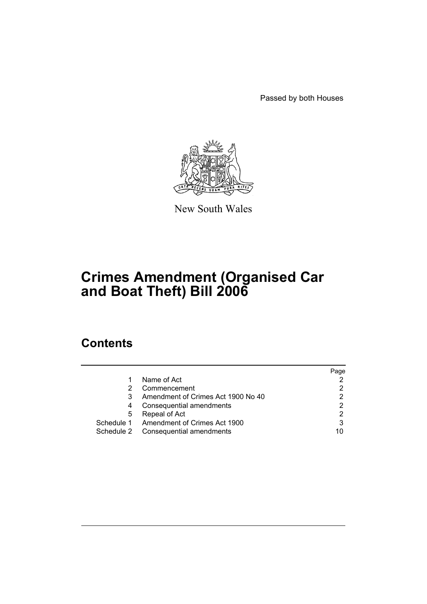Passed by both Houses



New South Wales

# **Crimes Amendment (Organised Car and Boat Theft) Bill 2006**

# **Contents**

|   |                                         | Page |
|---|-----------------------------------------|------|
|   | Name of Act                             | 2    |
|   | Commencement                            | 2    |
| 3 | Amendment of Crimes Act 1900 No 40      | 2    |
| 4 | Consequential amendments                | 2    |
| 5 | Repeal of Act                           | 2    |
|   | Schedule 1 Amendment of Crimes Act 1900 | 3    |
|   | Schedule 2 Consequential amendments     | 10   |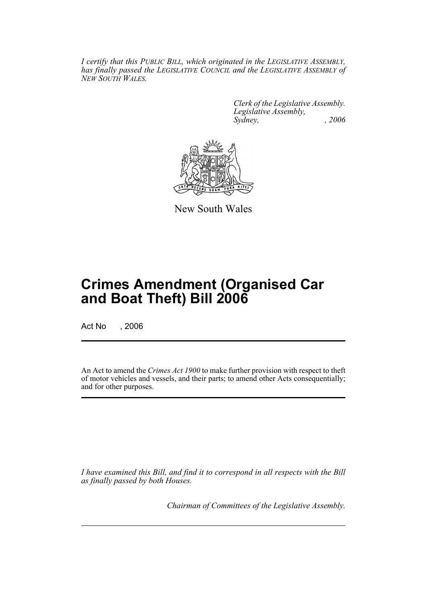*I certify that this PUBLIC BILL, which originated in the LEGISLATIVE ASSEMBLY, has finally passed the LEGISLATIVE COUNCIL and the LEGISLATIVE ASSEMBLY of NEW SOUTH WALES.*

> *Clerk of the Legislative Assembly. Legislative Assembly, Sydney, , 2006*



New South Wales

# **Crimes Amendment (Organised Car and Boat Theft) Bill 2006**

Act No , 2006

An Act to amend the *Crimes Act 1900* to make further provision with respect to theft of motor vehicles and vessels, and their parts; to amend other Acts consequentially; and for other purposes.

*I have examined this Bill, and find it to correspond in all respects with the Bill as finally passed by both Houses.*

*Chairman of Committees of the Legislative Assembly.*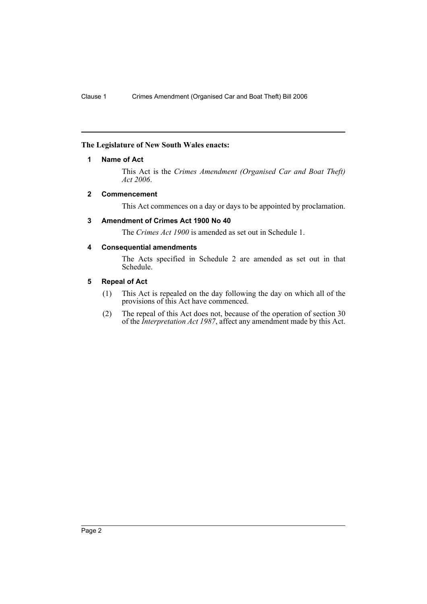#### **The Legislature of New South Wales enacts:**

#### **1 Name of Act**

This Act is the *Crimes Amendment (Organised Car and Boat Theft) Act 2006*.

#### **2 Commencement**

This Act commences on a day or days to be appointed by proclamation.

#### **3 Amendment of Crimes Act 1900 No 40**

The *Crimes Act 1900* is amended as set out in Schedule 1.

#### **4 Consequential amendments**

The Acts specified in Schedule 2 are amended as set out in that Schedule.

#### **5 Repeal of Act**

- (1) This Act is repealed on the day following the day on which all of the provisions of this Act have commenced.
- (2) The repeal of this Act does not, because of the operation of section 30 of the *Interpretation Act 1987*, affect any amendment made by this Act.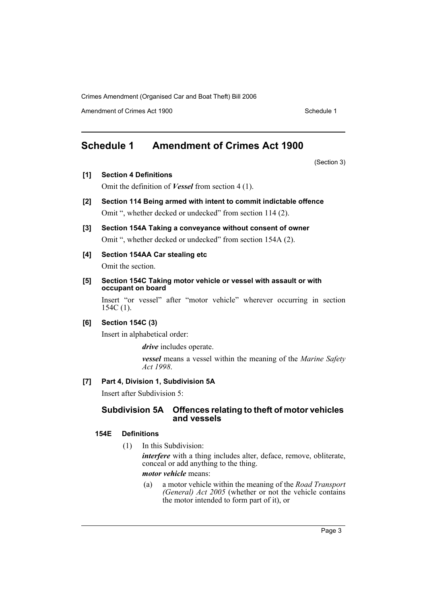Amendment of Crimes Act 1900 New York 1900 Network 1900 Schedule 1

## **Schedule 1 Amendment of Crimes Act 1900**

(Section 3)

- **[1] Section 4 Definitions** Omit the definition of *Vessel* from section 4 (1).
- **[2] Section 114 Being armed with intent to commit indictable offence** Omit ", whether decked or undecked" from section 114 (2).
- **[3] Section 154A Taking a conveyance without consent of owner** Omit ", whether decked or undecked" from section 154A (2).
- **[4] Section 154AA Car stealing etc** Omit the section.
	-
- **[5] Section 154C Taking motor vehicle or vessel with assault or with occupant on board**

Insert "or vessel" after "motor vehicle" wherever occurring in section 154C (1).

#### **[6] Section 154C (3)**

Insert in alphabetical order:

*drive* includes operate.

*vessel* means a vessel within the meaning of the *Marine Safety Act 1998*.

#### **[7] Part 4, Division 1, Subdivision 5A**

Insert after Subdivision 5:

#### **Subdivision 5A Offences relating to theft of motor vehicles and vessels**

#### **154E Definitions**

(1) In this Subdivision:

*interfere* with a thing includes alter, deface, remove, obliterate, conceal or add anything to the thing.

*motor vehicle* means:

(a) a motor vehicle within the meaning of the *Road Transport (General) Act 2005* (whether or not the vehicle contains the motor intended to form part of it), or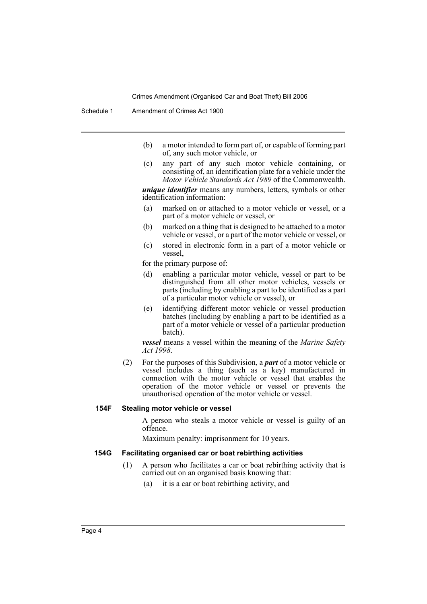Schedule 1 Amendment of Crimes Act 1900

- (b) a motor intended to form part of, or capable of forming part of, any such motor vehicle, or
- (c) any part of any such motor vehicle containing, or consisting of, an identification plate for a vehicle under the *Motor Vehicle Standards Act 1989* of the Commonwealth.

*unique identifier* means any numbers, letters, symbols or other identification information:

- (a) marked on or attached to a motor vehicle or vessel, or a part of a motor vehicle or vessel, or
- (b) marked on a thing that is designed to be attached to a motor vehicle or vessel, or a part of the motor vehicle or vessel, or
- (c) stored in electronic form in a part of a motor vehicle or vessel,

for the primary purpose of:

- (d) enabling a particular motor vehicle, vessel or part to be distinguished from all other motor vehicles, vessels or parts (including by enabling a part to be identified as a part of a particular motor vehicle or vessel), or
- (e) identifying different motor vehicle or vessel production batches (including by enabling a part to be identified as a part of a motor vehicle or vessel of a particular production batch).

*vessel* means a vessel within the meaning of the *Marine Safety Act 1998*.

(2) For the purposes of this Subdivision, a *part* of a motor vehicle or vessel includes a thing (such as a key) manufactured in connection with the motor vehicle or vessel that enables the operation of the motor vehicle or vessel or prevents the unauthorised operation of the motor vehicle or vessel.

#### **154F Stealing motor vehicle or vessel**

A person who steals a motor vehicle or vessel is guilty of an offence.

Maximum penalty: imprisonment for 10 years.

#### **154G Facilitating organised car or boat rebirthing activities**

- (1) A person who facilitates a car or boat rebirthing activity that is carried out on an organised basis knowing that:
	- (a) it is a car or boat rebirthing activity, and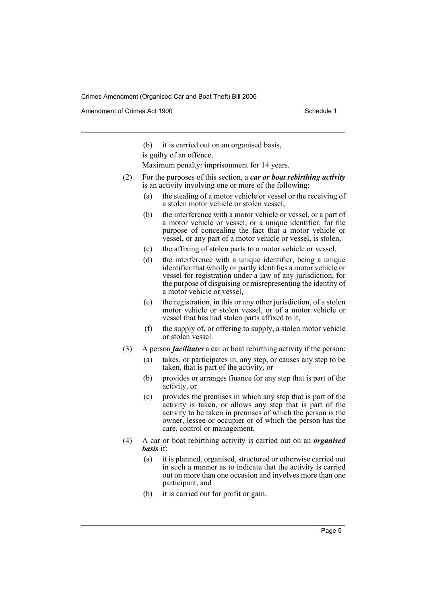Amendment of Crimes Act 1900 New York 1900 New York 1900 New York 1900 Schedule 1

(b) it is carried out on an organised basis,

is guilty of an offence.

Maximum penalty: imprisonment for 14 years.

- (2) For the purposes of this section, a *car or boat rebirthing activity* is an activity involving one or more of the following:
	- (a) the stealing of a motor vehicle or vessel or the receiving of a stolen motor vehicle or stolen vessel,
	- (b) the interference with a motor vehicle or vessel, or a part of a motor vehicle or vessel, or a unique identifier, for the purpose of concealing the fact that a motor vehicle or vessel, or any part of a motor vehicle or vessel, is stolen,
	- (c) the affixing of stolen parts to a motor vehicle or vessel,
	- (d) the interference with a unique identifier, being a unique identifier that wholly or partly identifies a motor vehicle or vessel for registration under a law of any jurisdiction, for the purpose of disguising or misrepresenting the identity of a motor vehicle or vessel,
	- (e) the registration, in this or any other jurisdiction, of a stolen motor vehicle or stolen vessel, or of a motor vehicle or vessel that has had stolen parts affixed to it,
	- (f) the supply of, or offering to supply, a stolen motor vehicle or stolen vessel.
- (3) A person *facilitates* a car or boat rebirthing activity if the person:
	- (a) takes, or participates in, any step, or causes any step to be taken, that is part of the activity, or
	- (b) provides or arranges finance for any step that is part of the activity, or
	- (c) provides the premises in which any step that is part of the activity is taken, or allows any step that is part of the activity to be taken in premises of which the person is the owner, lessee or occupier or of which the person has the care, control or management.
- (4) A car or boat rebirthing activity is carried out on an *organised basis* if:
	- (a) it is planned, organised, structured or otherwise carried out in such a manner as to indicate that the activity is carried out on more than one occasion and involves more than one participant, and
	- (b) it is carried out for profit or gain.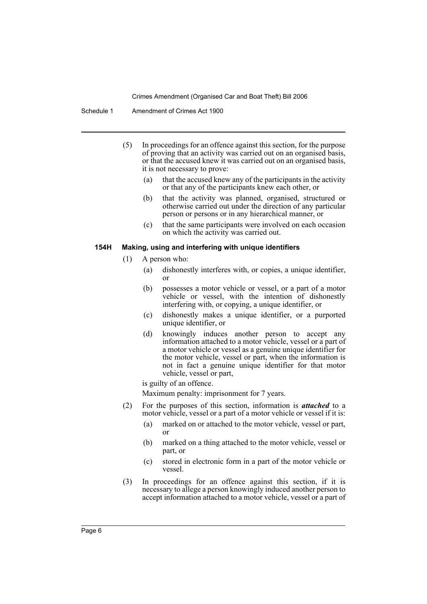Schedule 1 Amendment of Crimes Act 1900

- (5) In proceedings for an offence against this section, for the purpose of proving that an activity was carried out on an organised basis, or that the accused knew it was carried out on an organised basis, it is not necessary to prove:
	- (a) that the accused knew any of the participants in the activity or that any of the participants knew each other, or
	- (b) that the activity was planned, organised, structured or otherwise carried out under the direction of any particular person or persons or in any hierarchical manner, or
	- (c) that the same participants were involved on each occasion on which the activity was carried out.

#### **154H Making, using and interfering with unique identifiers**

- (1) A person who:
	- (a) dishonestly interferes with, or copies, a unique identifier, or
	- (b) possesses a motor vehicle or vessel, or a part of a motor vehicle or vessel, with the intention of dishonestly interfering with, or copying, a unique identifier, or
	- (c) dishonestly makes a unique identifier, or a purported unique identifier, or
	- (d) knowingly induces another person to accept any information attached to a motor vehicle, vessel or a part of a motor vehicle or vessel as a genuine unique identifier for the motor vehicle, vessel or part, when the information is not in fact a genuine unique identifier for that motor vehicle, vessel or part,

is guilty of an offence.

Maximum penalty: imprisonment for 7 years.

- (2) For the purposes of this section, information is *attached* to a motor vehicle, vessel or a part of a motor vehicle or vessel if it is:
	- (a) marked on or attached to the motor vehicle, vessel or part, or
	- (b) marked on a thing attached to the motor vehicle, vessel or part, or
	- (c) stored in electronic form in a part of the motor vehicle or vessel.
- (3) In proceedings for an offence against this section, if it is necessary to allege a person knowingly induced another person to accept information attached to a motor vehicle, vessel or a part of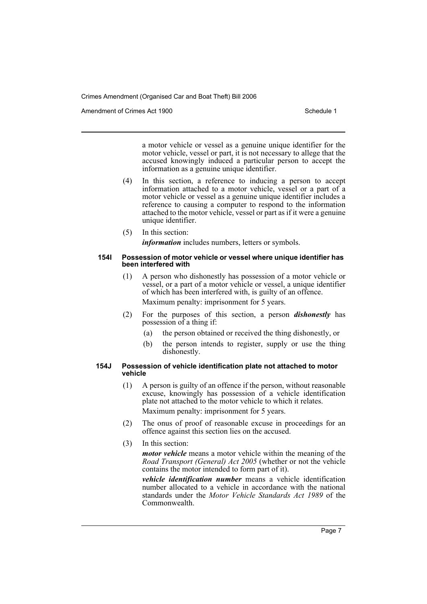Amendment of Crimes Act 1900 New York 1900 New York 1900 New York 1900 Schedule 1

a motor vehicle or vessel as a genuine unique identifier for the motor vehicle, vessel or part, it is not necessary to allege that the accused knowingly induced a particular person to accept the information as a genuine unique identifier.

- (4) In this section, a reference to inducing a person to accept information attached to a motor vehicle, vessel or a part of a motor vehicle or vessel as a genuine unique identifier includes a reference to causing a computer to respond to the information attached to the motor vehicle, vessel or part as if it were a genuine unique identifier.
- (5) In this section: *information* includes numbers, letters or symbols.

#### **154I Possession of motor vehicle or vessel where unique identifier has been interfered with**

(1) A person who dishonestly has possession of a motor vehicle or vessel, or a part of a motor vehicle or vessel, a unique identifier of which has been interfered with, is guilty of an offence.

Maximum penalty: imprisonment for 5 years.

- (2) For the purposes of this section, a person *dishonestly* has possession of a thing if:
	- (a) the person obtained or received the thing dishonestly, or
	- (b) the person intends to register, supply or use the thing dishonestly.

#### **154J Possession of vehicle identification plate not attached to motor vehicle**

- (1) A person is guilty of an offence if the person, without reasonable excuse, knowingly has possession of a vehicle identification plate not attached to the motor vehicle to which it relates. Maximum penalty: imprisonment for 5 years.
- (2) The onus of proof of reasonable excuse in proceedings for an offence against this section lies on the accused.
- (3) In this section:

*motor vehicle* means a motor vehicle within the meaning of the *Road Transport (General) Act 2005* (whether or not the vehicle contains the motor intended to form part of it).

*vehicle identification number* means a vehicle identification number allocated to a vehicle in accordance with the national standards under the *Motor Vehicle Standards Act 1989* of the Commonwealth.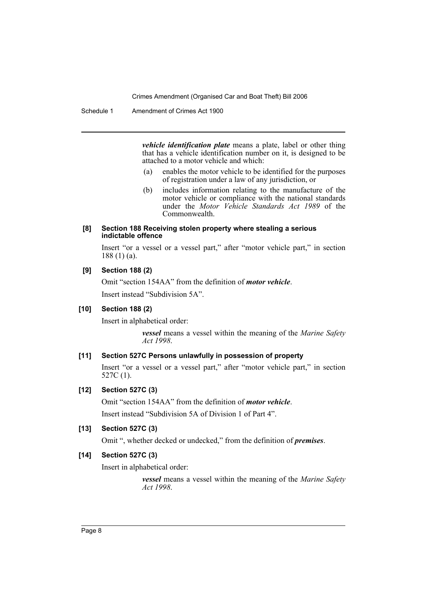Schedule 1 Amendment of Crimes Act 1900

*vehicle identification plate* means a plate, label or other thing that has a vehicle identification number on it, is designed to be attached to a motor vehicle and which:

- (a) enables the motor vehicle to be identified for the purposes of registration under a law of any jurisdiction, or
- (b) includes information relating to the manufacture of the motor vehicle or compliance with the national standards under the *Motor Vehicle Standards Act 1989* of the Commonwealth.

#### **[8] Section 188 Receiving stolen property where stealing a serious indictable offence**

Insert "or a vessel or a vessel part," after "motor vehicle part," in section 188 (1) (a).

#### **[9] Section 188 (2)**

Omit "section 154AA" from the definition of *motor vehicle*.

Insert instead "Subdivision 5A".

#### **[10] Section 188 (2)**

Insert in alphabetical order:

*vessel* means a vessel within the meaning of the *Marine Safety Act 1998*.

#### **[11] Section 527C Persons unlawfully in possession of property**

Insert "or a vessel or a vessel part," after "motor vehicle part," in section 527C (1).

#### **[12] Section 527C (3)**

Omit "section 154AA" from the definition of *motor vehicle*.

Insert instead "Subdivision 5A of Division 1 of Part 4".

#### **[13] Section 527C (3)**

Omit ", whether decked or undecked," from the definition of *premises*.

#### **[14] Section 527C (3)**

Insert in alphabetical order:

*vessel* means a vessel within the meaning of the *Marine Safety Act 1998*.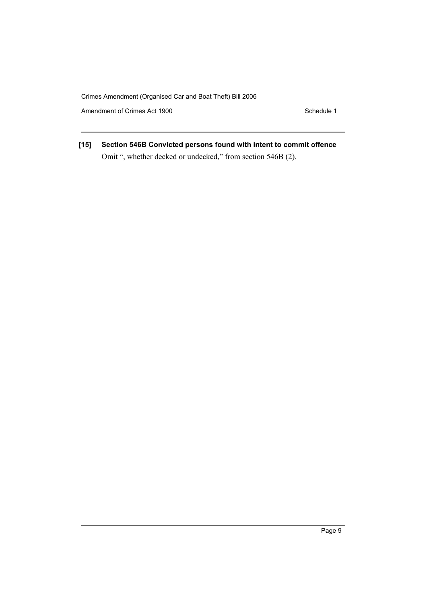Amendment of Crimes Act 1900 Schedule 1

**[15] Section 546B Convicted persons found with intent to commit offence** Omit ", whether decked or undecked," from section 546B (2).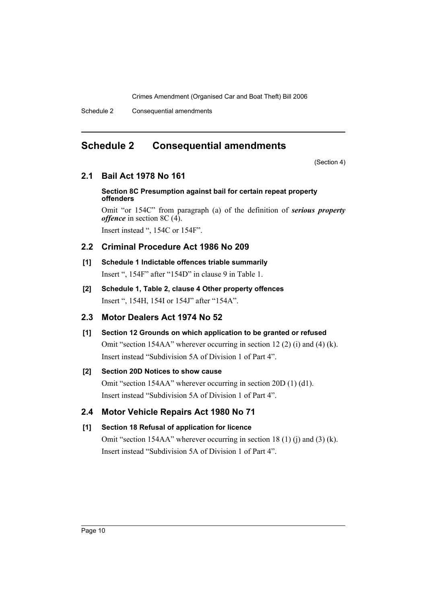Schedule 2 Consequential amendments

## **Schedule 2 Consequential amendments**

(Section 4)

## **2.1 Bail Act 1978 No 161**

#### **Section 8C Presumption against bail for certain repeat property offenders**

Omit "or 154C" from paragraph (a) of the definition of *serious property offence* in section 8C (4). Insert instead ", 154C or 154F".

## **2.2 Criminal Procedure Act 1986 No 209**

## **[1] Schedule 1 Indictable offences triable summarily** Insert ", 154F" after "154D" in clause 9 in Table 1.

**[2] Schedule 1, Table 2, clause 4 Other property offences** Insert ", 154H, 154I or 154J" after "154A".

## **2.3 Motor Dealers Act 1974 No 52**

# **[1] Section 12 Grounds on which application to be granted or refused** Omit "section 154AA" wherever occurring in section 12 (2) (i) and (4) (k). Insert instead "Subdivision 5A of Division 1 of Part 4".

## **[2] Section 20D Notices to show cause**

Omit "section 154AA" wherever occurring in section 20D (1) (d1). Insert instead "Subdivision 5A of Division 1 of Part 4".

## **2.4 Motor Vehicle Repairs Act 1980 No 71**

## **[1] Section 18 Refusal of application for licence**

Omit "section 154AA" wherever occurring in section 18 (1) (i) and (3) (k). Insert instead "Subdivision 5A of Division 1 of Part 4".